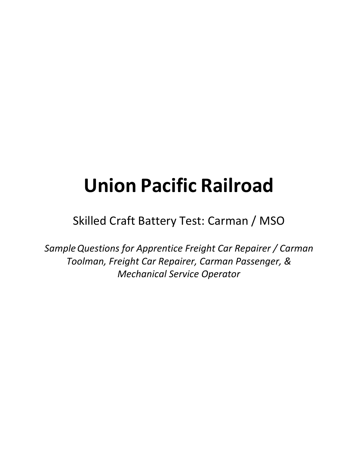# **Union Pacific Railroad**

Skilled Craft Battery Test: Carman / MSO

*SampleQuestions for Apprentice Freight Car Repairer / Carman Toolman, Freight Car Repairer, Carman Passenger, & Mechanical Service Operator*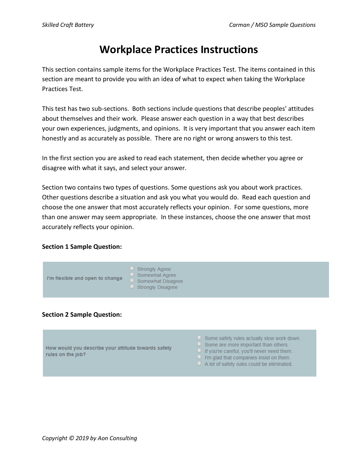## **Workplace Practices Instructions**

This section contains sample items for the Workplace Practices Test. The items contained in this section are meant to provide you with an idea of what to expect when taking the Workplace Practices Test.

This test has two sub-sections. Both sections include questions that describe peoples' attitudes about themselves and their work. Please answer each question in a way that best describes your own experiences, judgments, and opinions. It is very important that you answer each item honestly and as accurately as possible. There are no right or wrong answers to this test.

In the first section you are asked to read each statement, then decide whether you agree or disagree with what it says, and select your answer.

Section two contains two types of questions. Some questions ask you about work practices. Other questions describe a situation and ask you what you would do. Read each question and choose the one answer that most accurately reflects your opinion. For some questions, more than one answer may seem appropriate. In these instances, choose the one answer that most accurately reflects your opinion.

#### **Section 1 Sample Question:**



#### **Section 2 Sample Question:**

How would you describe your attitude towards safety rules on the job?

- $\circ$  Some safety rules actually slow work down.
- $\circ$  Some are more important than others.
- O If you're careful, you'll never need them.
- $\Box$  I'm glad that companies insist on them.
- $\circ$  A lot of safety rules could be eliminated.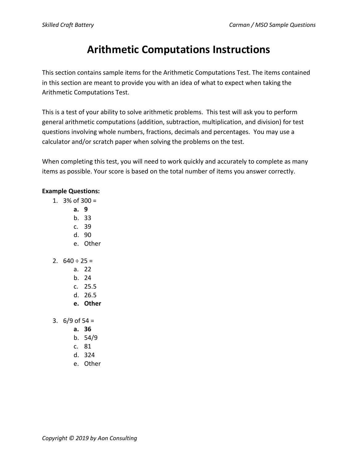# **Arithmetic Computations Instructions**

This section contains sample items for the Arithmetic Computations Test. The items contained in this section are meant to provide you with an idea of what to expect when taking the Arithmetic Computations Test.

This is a test of your ability to solve arithmetic problems. This test will ask you to perform general arithmetic computations (addition, subtraction, multiplication, and division) for test questions involving whole numbers, fractions, decimals and percentages. You may use a calculator and/or scratch paper when solving the problems on the test.

When completing this test, you will need to work quickly and accurately to complete as many items as possible. Your score is based on the total number of items you answer correctly.

#### **Example Questions:**

- 1.  $3\%$  of  $300 =$ 
	- **a. 9**
	- b. 33
	- c. 39
	- d. 90
	- e. Other
- 2.  $640 \div 25 =$ 
	- a. 22
	- b. 24
	- c. 25.5
	- d. 26.5
	- **e. Other**
- 3.  $6/9$  of 54 =
	- **a. 36**
	- b. 54/9
	- c. 81
	- d. 324
	- e. Other